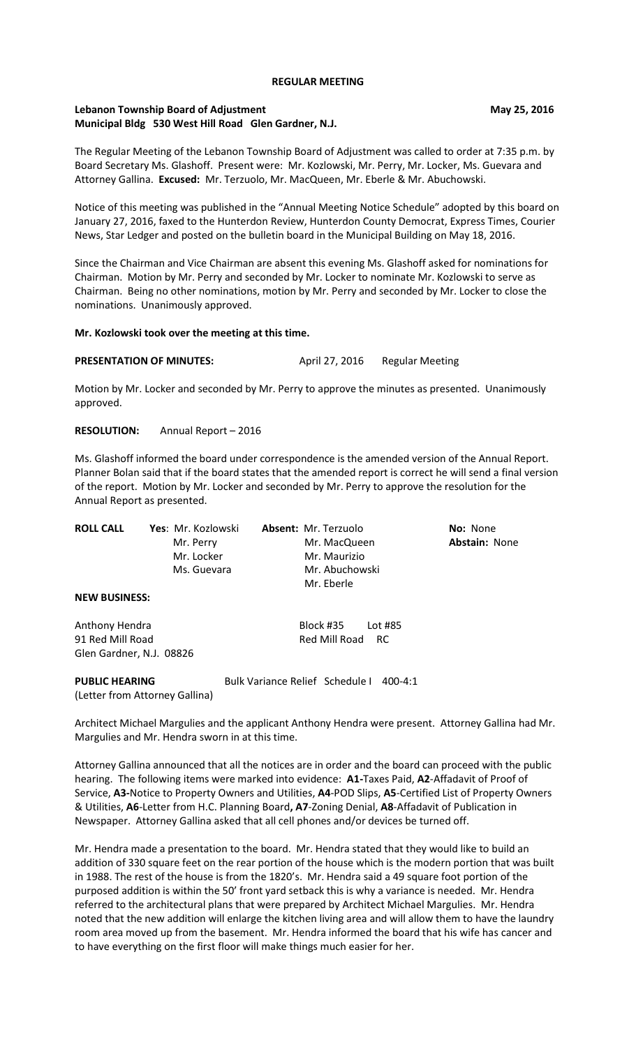#### **REGULAR MEETING**

## **Lebanon Township Board of Adjustment May 25, 2016** May 25, 2016 **Municipal Bldg 530 West Hill Road Glen Gardner, N.J.**

The Regular Meeting of the Lebanon Township Board of Adjustment was called to order at 7:35 p.m. by Board Secretary Ms. Glashoff. Present were: Mr. Kozlowski, Mr. Perry, Mr. Locker, Ms. Guevara and Attorney Gallina. **Excused:** Mr. Terzuolo, Mr. MacQueen, Mr. Eberle & Mr. Abuchowski.

Notice of this meeting was published in the "Annual Meeting Notice Schedule" adopted by this board on January 27, 2016, faxed to the Hunterdon Review, Hunterdon County Democrat, Express Times, Courier News, Star Ledger and posted on the bulletin board in the Municipal Building on May 18, 2016.

Since the Chairman and Vice Chairman are absent this evening Ms. Glashoff asked for nominations for Chairman. Motion by Mr. Perry and seconded by Mr. Locker to nominate Mr. Kozlowski to serve as Chairman. Being no other nominations, motion by Mr. Perry and seconded by Mr. Locker to close the nominations. Unanimously approved.

## **Mr. Kozlowski took over the meeting at this time.**

# **PRESENTATION OF MINUTES:** April 27, 2016 Regular Meeting

Motion by Mr. Locker and seconded by Mr. Perry to approve the minutes as presented. Unanimously approved.

**RESOLUTION:** Annual Report – 2016

Ms. Glashoff informed the board under correspondence is the amended version of the Annual Report. Planner Bolan said that if the board states that the amended report is correct he will send a final version of the report. Motion by Mr. Locker and seconded by Mr. Perry to approve the resolution for the Annual Report as presented.

| <b>ROLL CALL</b> | Yes: Mr. Kozlowski | <b>Absent: Mr. Terzuolo</b> | <b>No: None</b>      |
|------------------|--------------------|-----------------------------|----------------------|
|                  | Mr. Perry          | Mr. MacQueen                | <b>Abstain: None</b> |
|                  | Mr. Locker         | Mr. Maurizio                |                      |
|                  | Ms. Guevara        | Mr. Abuchowski              |                      |
|                  |                    | Mr. Eberle                  |                      |

**NEW BUSINESS:**

Anthony Hendra **Block #35** Lot #85 91 Red Mill Road Red Mill Road RC Glen Gardner, N.J. 08826

#### **PUBLIC HEARING** Bulk Variance Relief Schedule I 400-4:1

(Letter from Attorney Gallina)

Architect Michael Margulies and the applicant Anthony Hendra were present. Attorney Gallina had Mr. Margulies and Mr. Hendra sworn in at this time.

Attorney Gallina announced that all the notices are in order and the board can proceed with the public hearing. The following items were marked into evidence: **A1-**Taxes Paid, **A2**-Affadavit of Proof of Service, **A3-**Notice to Property Owners and Utilities, **A4**-POD Slips, **A5**-Certified List of Property Owners & Utilities, **A6**-Letter from H.C. Planning Board**, A7**-Zoning Denial, **A8**-Affadavit of Publication in Newspaper. Attorney Gallina asked that all cell phones and/or devices be turned off.

Mr. Hendra made a presentation to the board. Mr. Hendra stated that they would like to build an addition of 330 square feet on the rear portion of the house which is the modern portion that was built in 1988. The rest of the house is from the 1820's. Mr. Hendra said a 49 square foot portion of the purposed addition is within the 50' front yard setback this is why a variance is needed. Mr. Hendra referred to the architectural plans that were prepared by Architect Michael Margulies. Mr. Hendra noted that the new addition will enlarge the kitchen living area and will allow them to have the laundry room area moved up from the basement. Mr. Hendra informed the board that his wife has cancer and to have everything on the first floor will make things much easier for her.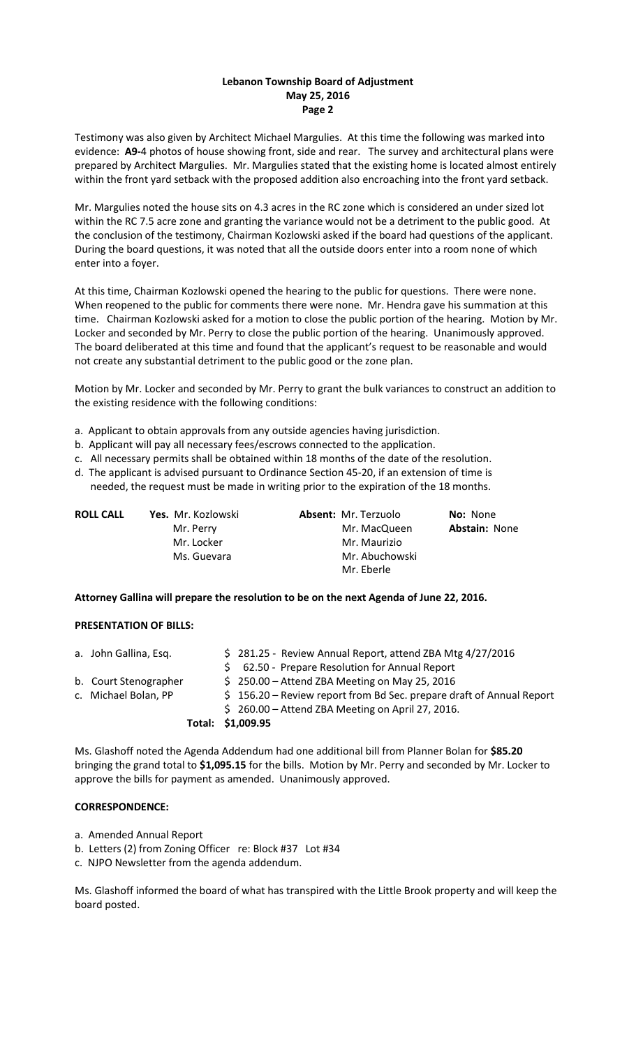## **Lebanon Township Board of Adjustment May 25, 2016 Page 2**

Testimony was also given by Architect Michael Margulies. At this time the following was marked into evidence: **A9-**4 photos of house showing front, side and rear. The survey and architectural plans were prepared by Architect Margulies. Mr. Margulies stated that the existing home is located almost entirely within the front yard setback with the proposed addition also encroaching into the front yard setback.

Mr. Margulies noted the house sits on 4.3 acres in the RC zone which is considered an under sized lot within the RC 7.5 acre zone and granting the variance would not be a detriment to the public good. At the conclusion of the testimony, Chairman Kozlowski asked if the board had questions of the applicant. During the board questions, it was noted that all the outside doors enter into a room none of which enter into a foyer.

At this time, Chairman Kozlowski opened the hearing to the public for questions. There were none. When reopened to the public for comments there were none. Mr. Hendra gave his summation at this time. Chairman Kozlowski asked for a motion to close the public portion of the hearing. Motion by Mr. Locker and seconded by Mr. Perry to close the public portion of the hearing. Unanimously approved. The board deliberated at this time and found that the applicant's request to be reasonable and would not create any substantial detriment to the public good or the zone plan.

Motion by Mr. Locker and seconded by Mr. Perry to grant the bulk variances to construct an addition to the existing residence with the following conditions:

- a. Applicant to obtain approvals from any outside agencies having jurisdiction.
- b. Applicant will pay all necessary fees/escrows connected to the application.
- c. All necessary permits shall be obtained within 18 months of the date of the resolution.
- d. The applicant is advised pursuant to Ordinance Section 45-20, if an extension of time is
	- needed, the request must be made in writing prior to the expiration of the 18 months.

| <b>ROLL CALL</b> | Yes. Mr. Kozlowski | <b>Absent: Mr. Terzuolo</b> | <b>No: None</b>      |
|------------------|--------------------|-----------------------------|----------------------|
|                  | Mr. Perry          | Mr. MacQueen                | <b>Abstain: None</b> |
|                  | Mr. Locker         | Mr. Maurizio                |                      |
|                  | Ms. Guevara        | Mr. Abuchowski              |                      |
|                  |                    | Mr. Eberle                  |                      |

**Attorney Gallina will prepare the resolution to be on the next Agenda of June 22, 2016.**

#### **PRESENTATION OF BILLS:**

| b. Court Stenographer<br>c. Michael Bolan, PP | $$250.00 -$ Attend ZBA Meeting on May 25, 2016<br>\$156.20 - Review report from Bd Sec. prepare draft of Annual Report<br>$$260.00 -$ Attend ZBA Meeting on April 27, 2016.<br>Total: \$1,009.95 |
|-----------------------------------------------|--------------------------------------------------------------------------------------------------------------------------------------------------------------------------------------------------|
| a. John Gallina, Esq.                         | \$281.25 - Review Annual Report, attend ZBA Mtg 4/27/2016<br>\$ 62.50 - Prepare Resolution for Annual Report                                                                                     |

Ms. Glashoff noted the Agenda Addendum had one additional bill from Planner Bolan for **\$85.20** bringing the grand total to **\$1,095.15** for the bills. Motion by Mr. Perry and seconded by Mr. Locker to approve the bills for payment as amended. Unanimously approved.

## **CORRESPONDENCE:**

- a. Amended Annual Report
- b. Letters (2) from Zoning Officer re: Block #37 Lot #34
- c. NJPO Newsletter from the agenda addendum.

Ms. Glashoff informed the board of what has transpired with the Little Brook property and will keep the board posted.